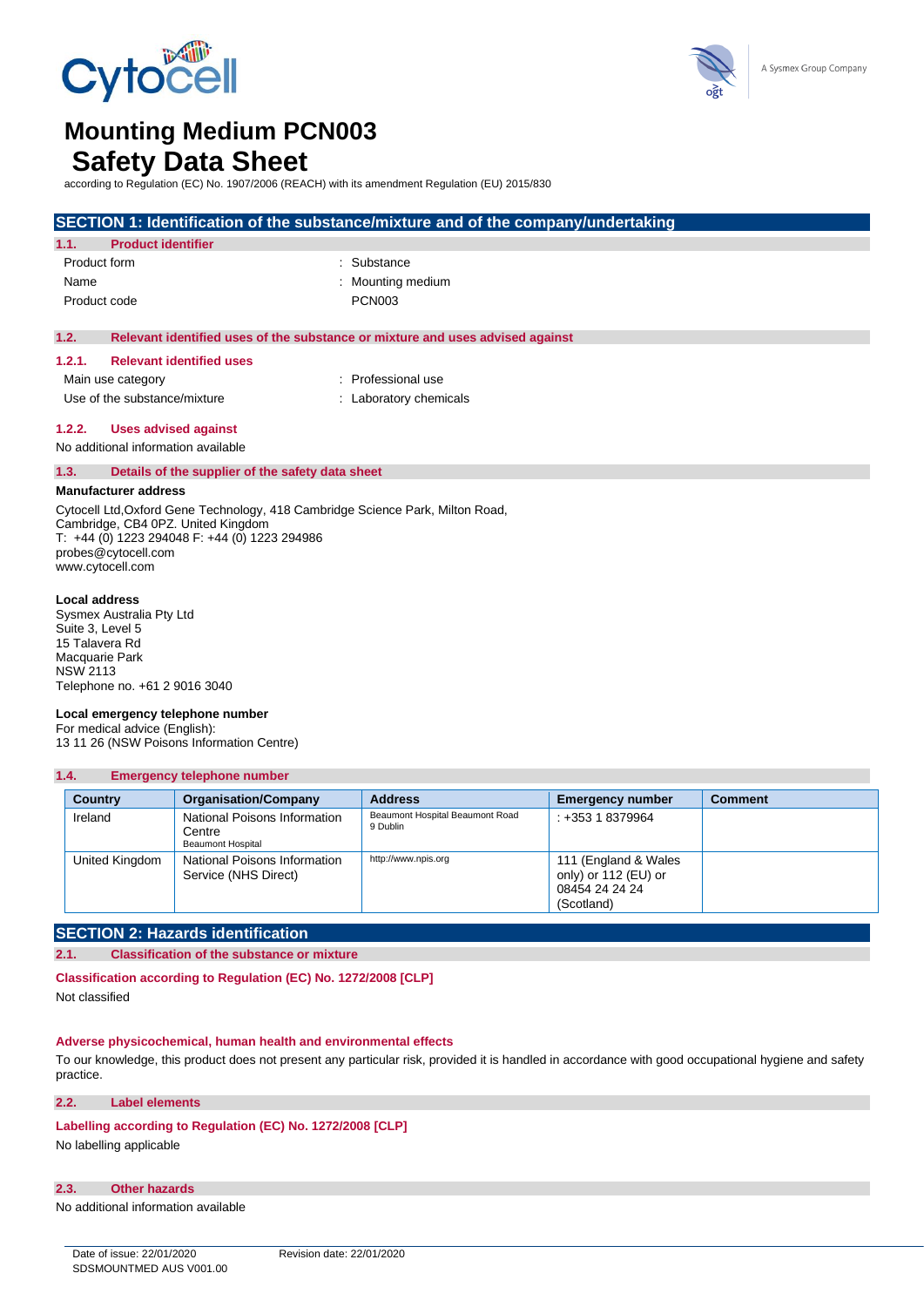



# **Mounting Medium PCN003**

## **Safety Data Sheet**

according to Regulation (EC) No. 1907/2006 (REACH) with its amendment Regulation (EU) 2015/830

|              |                                                  | SECTION 1: Identification of the substance/mixture and of the company/undertaking |  |  |
|--------------|--------------------------------------------------|-----------------------------------------------------------------------------------|--|--|
| 1.1.         | <b>Product identifier</b>                        |                                                                                   |  |  |
| Product form |                                                  | : Substance                                                                       |  |  |
| Name         |                                                  | : Mounting medium                                                                 |  |  |
| Product code |                                                  | <b>PCN003</b>                                                                     |  |  |
|              |                                                  |                                                                                   |  |  |
| 1.2.         |                                                  | Relevant identified uses of the substance or mixture and uses advised against     |  |  |
| 1.2.1.       | <b>Relevant identified uses</b>                  |                                                                                   |  |  |
|              | Main use category                                | : Professional use                                                                |  |  |
|              | Use of the substance/mixture                     | Laboratory chemicals                                                              |  |  |
|              |                                                  |                                                                                   |  |  |
| 1.2.2.       | <b>Uses advised against</b>                      |                                                                                   |  |  |
|              | No additional information available              |                                                                                   |  |  |
| 1.3.         | Details of the supplier of the safety data sheet |                                                                                   |  |  |
|              | <b>Manufacturer address</b>                      |                                                                                   |  |  |

Cytocell Ltd,Oxford Gene Technology, 418 Cambridge Science Park, Milton Road, Cambridge, CB4 0PZ. United Kingdom T: +44 (0) 1223 294048 F: +44 (0) 1223 294986 probes@cytocell.com www.cytocell.com

#### **Local address**

Sysmex Australia Pty Ltd Suite 3, Level 5 15 Talavera Rd Macquarie Park NSW 2113 Telephone no. +61 2 9016 3040

#### **Local emergency telephone number**

For medical advice (English): 13 11 26 (NSW Poisons Information Centre)

### **1.4. Emergency telephone number**

| <b>Country</b> | <b>Organisation/Company</b>                                 | <b>Address</b>                              | <b>Emergency number</b>                                                      | <b>Comment</b> |
|----------------|-------------------------------------------------------------|---------------------------------------------|------------------------------------------------------------------------------|----------------|
| Ireland        | National Poisons Information<br>Centre<br>Beaumont Hospital | Beaumont Hospital Beaumont Road<br>9 Dublin | $: +35318379964$                                                             |                |
| United Kingdom | National Poisons Information<br>Service (NHS Direct)        | http://www.npis.org                         | 111 (England & Wales<br>only) or 112 (EU) or<br>08454 24 24 24<br>(Scotland) |                |

### **SECTION 2: Hazards identification**

#### **2.1. Classification of the substance or mixture**

**Classification according to Regulation (EC) No. 1272/2008 [CLP]**

Not classified

### **Adverse physicochemical, human health and environmental effects**

To our knowledge, this product does not present any particular risk, provided it is handled in accordance with good occupational hygiene and safety practice.

#### **2.2. Label elements**

### **Labelling according to Regulation (EC) No. 1272/2008 [CLP]**

No labelling applicable

#### **2.3. Other hazards**

No additional information available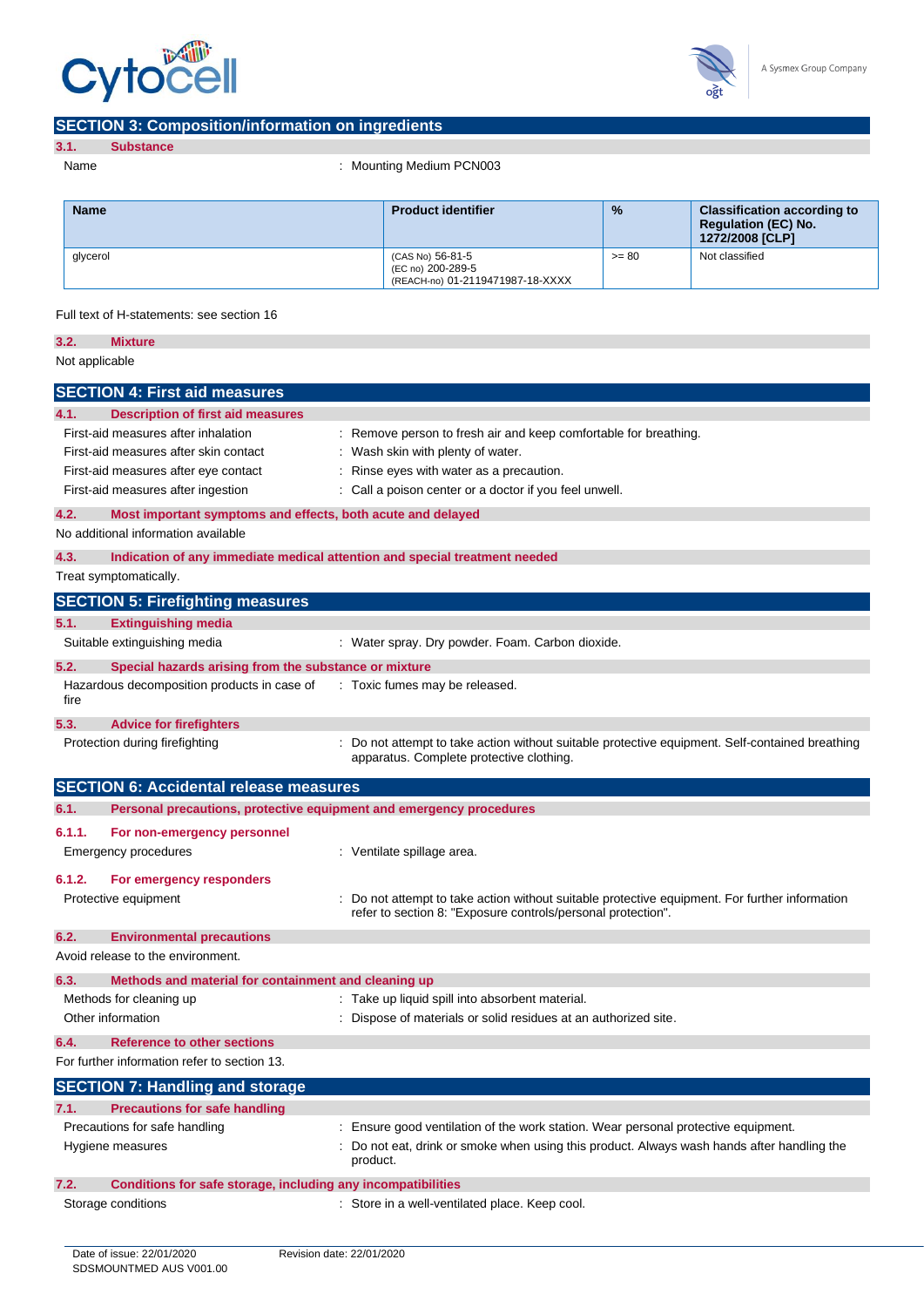



### **SECTION 3: Composition/information on ingredients**

| <b>Supstance</b> |
|------------------|
|                  |

Name : Mounting Medium PCN003

| <b>Name</b> | <b>Product identifier</b>                                                 | $\frac{9}{6}$ | <b>Classification according to</b><br><b>Regulation (EC) No.</b><br>1272/2008 [CLP] |
|-------------|---------------------------------------------------------------------------|---------------|-------------------------------------------------------------------------------------|
| glycerol    | (CAS No) 56-81-5<br>(EC no) 200-289-5<br>(REACH-no) 01-2119471987-18-XXXX | $>= 80$       | Not classified                                                                      |

Full text of H-statements: see section 16

| 3.2.           | <b>Mixture</b>                                                      |                                                                                                                                                              |
|----------------|---------------------------------------------------------------------|--------------------------------------------------------------------------------------------------------------------------------------------------------------|
| Not applicable |                                                                     |                                                                                                                                                              |
|                | <b>SECTION 4: First aid measures</b>                                |                                                                                                                                                              |
| 4.1.           | <b>Description of first aid measures</b>                            |                                                                                                                                                              |
|                | First-aid measures after inhalation                                 | : Remove person to fresh air and keep comfortable for breathing.                                                                                             |
|                | First-aid measures after skin contact                               | Wash skin with plenty of water.                                                                                                                              |
|                | First-aid measures after eye contact                                | Rinse eyes with water as a precaution.                                                                                                                       |
|                | First-aid measures after ingestion                                  | : Call a poison center or a doctor if you feel unwell.                                                                                                       |
| 4.2.           | Most important symptoms and effects, both acute and delayed         |                                                                                                                                                              |
|                | No additional information available                                 |                                                                                                                                                              |
| 4.3.           |                                                                     | Indication of any immediate medical attention and special treatment needed                                                                                   |
|                | Treat symptomatically.                                              |                                                                                                                                                              |
|                | <b>SECTION 5: Firefighting measures</b>                             |                                                                                                                                                              |
| 5.1.           | <b>Extinguishing media</b>                                          |                                                                                                                                                              |
|                | Suitable extinguishing media                                        | : Water spray. Dry powder. Foam. Carbon dioxide.                                                                                                             |
| 5.2.           | Special hazards arising from the substance or mixture               |                                                                                                                                                              |
| fire           | Hazardous decomposition products in case of                         | : Toxic fumes may be released.                                                                                                                               |
| 5.3.           | <b>Advice for firefighters</b>                                      |                                                                                                                                                              |
|                | Protection during firefighting                                      | Do not attempt to take action without suitable protective equipment. Self-contained breathing<br>apparatus. Complete protective clothing.                    |
|                | <b>SECTION 6: Accidental release measures</b>                       |                                                                                                                                                              |
|                |                                                                     |                                                                                                                                                              |
| 6.1.           | Personal precautions, protective equipment and emergency procedures |                                                                                                                                                              |
| 6.1.1.         | For non-emergency personnel                                         |                                                                                                                                                              |
|                | <b>Emergency procedures</b>                                         | : Ventilate spillage area.                                                                                                                                   |
| 6.1.2.         | For emergency responders                                            |                                                                                                                                                              |
|                | Protective equipment                                                | Do not attempt to take action without suitable protective equipment. For further information<br>refer to section 8: "Exposure controls/personal protection". |
| 6.2.           | <b>Environmental precautions</b>                                    |                                                                                                                                                              |
|                | Avoid release to the environment.                                   |                                                                                                                                                              |
| 6.3.           | Methods and material for containment and cleaning up                |                                                                                                                                                              |
|                | Methods for cleaning up                                             | : Take up liquid spill into absorbent material.                                                                                                              |
|                | Other information                                                   | Dispose of materials or solid residues at an authorized site.                                                                                                |
| 6.4.           | <b>Reference to other sections</b>                                  |                                                                                                                                                              |
|                | For further information refer to section 13.                        |                                                                                                                                                              |
|                | <b>SECTION 7: Handling and storage</b>                              |                                                                                                                                                              |
| 7.1.           | <b>Precautions for safe handling</b>                                |                                                                                                                                                              |
|                | Precautions for safe handling                                       | : Ensure good ventilation of the work station. Wear personal protective equipment.                                                                           |
|                | Hygiene measures                                                    | Do not eat, drink or smoke when using this product. Always wash hands after handling the<br>product.                                                         |
| 7.2.           | Conditions for safe storage, including any incompatibilities        |                                                                                                                                                              |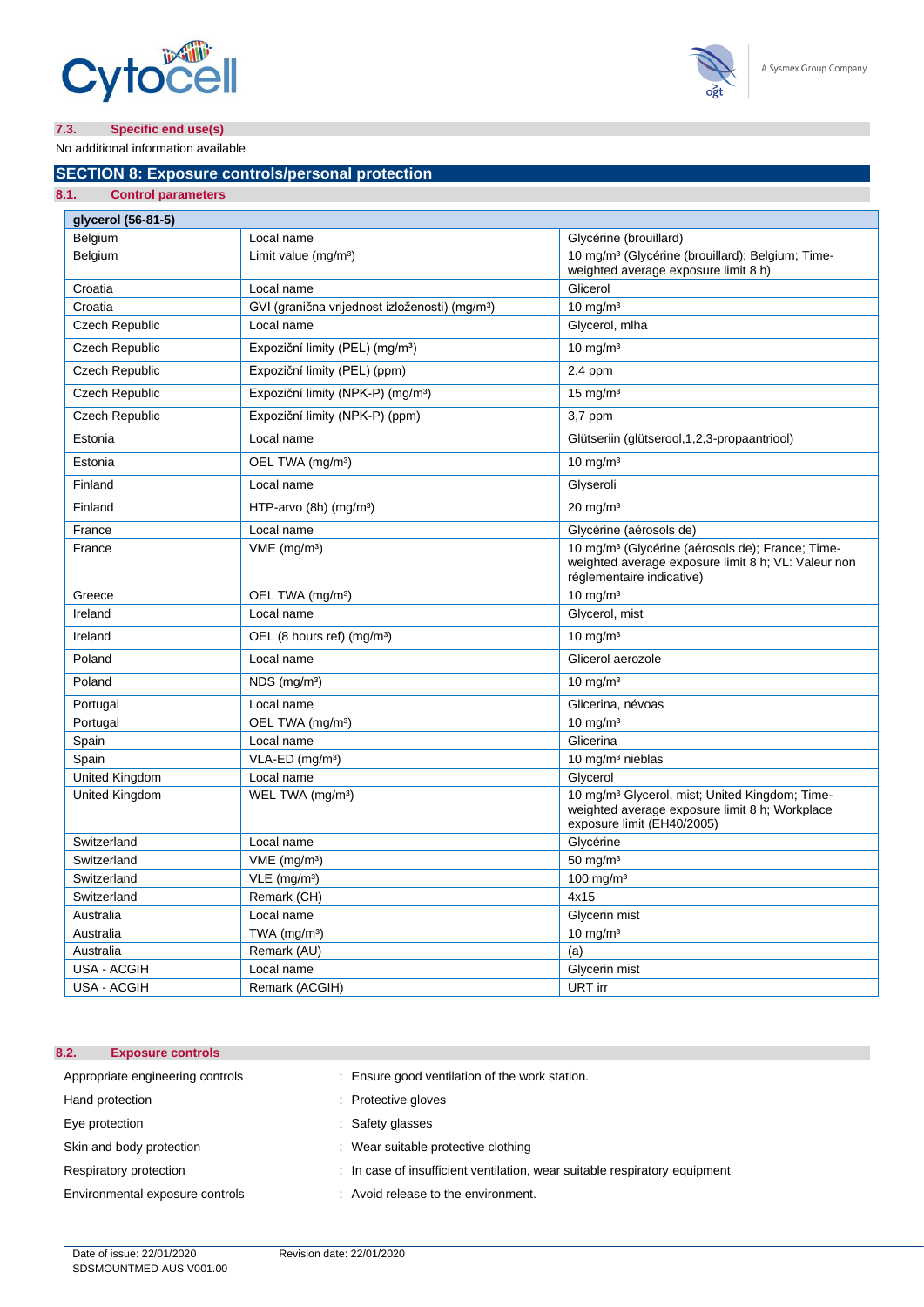



No additional information available

### **SECTION 8: Exposure controls/personal protection**

| 8.1.<br><b>Control parameters</b> |                                                            |                                                                                                                                                  |
|-----------------------------------|------------------------------------------------------------|--------------------------------------------------------------------------------------------------------------------------------------------------|
| qlycerol (56-81-5)                |                                                            |                                                                                                                                                  |
| Belgium                           | Local name                                                 | Glycérine (brouillard)                                                                                                                           |
| Belgium                           | Limit value $(mq/m3)$                                      | 10 mg/m <sup>3</sup> (Glycérine (brouillard); Belgium; Time-<br>weighted average exposure limit 8 h)                                             |
| Croatia                           | Local name                                                 | Glicerol                                                                                                                                         |
| Croatia                           | GVI (granična vrijednost izloženosti) (mg/m <sup>3</sup> ) | $10 \text{ mg/m}^3$                                                                                                                              |
| <b>Czech Republic</b>             | Local name                                                 | Glycerol, mlha                                                                                                                                   |
| <b>Czech Republic</b>             | Expoziční limity (PEL) (mg/m <sup>3</sup> )                | $10 \text{ mg/m}^3$                                                                                                                              |
| Czech Republic                    | Expoziční limity (PEL) (ppm)                               | $2,4$ ppm                                                                                                                                        |
| <b>Czech Republic</b>             | Expoziční limity (NPK-P) (mg/m <sup>3</sup> )              | 15 mg/ $m3$                                                                                                                                      |
| Czech Republic                    | Expoziční limity (NPK-P) (ppm)                             | $3,7$ ppm                                                                                                                                        |
| Estonia                           | Local name                                                 | Glütseriin (glütserool, 1, 2, 3-propaantriool)                                                                                                   |
| Estonia                           | OEL TWA (mg/m <sup>3</sup> )                               | $10 \text{ mg/m}^3$                                                                                                                              |
| Finland                           | Local name                                                 | Glyseroli                                                                                                                                        |
| Finland                           | HTP-arvo (8h) (mg/m <sup>3</sup> )                         | $20 \text{ mg/m}^3$                                                                                                                              |
| France                            | Local name                                                 | Glycérine (aérosols de)                                                                                                                          |
| France                            | $VME$ (mg/m <sup>3</sup> )                                 | 10 mg/m <sup>3</sup> (Glycérine (aérosols de); France; Time-<br>weighted average exposure limit 8 h; VL: Valeur non<br>réglementaire indicative) |
| Greece                            | OEL TWA (mg/m <sup>3</sup> )                               | 10 mg/m $3$                                                                                                                                      |
| Ireland                           | Local name                                                 | Glycerol, mist                                                                                                                                   |
| Ireland                           | OEL (8 hours ref) (mg/m <sup>3</sup> )                     | $10 \text{ mg/m}^3$                                                                                                                              |
| Poland                            | Local name                                                 | Glicerol aerozole                                                                                                                                |
| Poland                            | $NDS$ (mg/m <sup>3</sup> )                                 | 10 mg/m $3$                                                                                                                                      |
| Portugal                          | Local name                                                 | Glicerina, névoas                                                                                                                                |
| Portugal                          | OEL TWA (mg/m <sup>3</sup> )                               | $10 \text{ mg/m}^3$                                                                                                                              |
| Spain                             | Local name                                                 | Glicerina                                                                                                                                        |
| Spain                             | $VLA-ED$ (mg/m <sup>3</sup> )                              | 10 mg/m <sup>3</sup> nieblas                                                                                                                     |
| United Kingdom                    | Local name                                                 | Glycerol                                                                                                                                         |
| United Kingdom                    | WEL TWA (mg/m <sup>3</sup> )                               | 10 mg/m <sup>3</sup> Glycerol, mist; United Kingdom; Time-<br>weighted average exposure limit 8 h; Workplace<br>exposure limit (EH40/2005)       |
| Switzerland                       | Local name                                                 | Glycérine                                                                                                                                        |
| Switzerland                       | $VME$ (mg/m <sup>3</sup> )                                 | 50 mg/m $3$                                                                                                                                      |
| Switzerland                       | $VLE$ (mg/m <sup>3</sup> )                                 | $100$ mg/m <sup>3</sup>                                                                                                                          |
| Switzerland                       | Remark (CH)                                                | 4x15                                                                                                                                             |
| Australia                         | Local name                                                 | Glycerin mist                                                                                                                                    |
| Australia                         | TWA (mg/m <sup>3</sup> )                                   | $10$ mg/m <sup>3</sup>                                                                                                                           |
| Australia                         | Remark (AU)                                                | (a)                                                                                                                                              |
| USA - ACGIH                       | Local name                                                 | Glycerin mist                                                                                                                                    |
| USA - ACGIH                       | Remark (ACGIH)                                             | URT irr                                                                                                                                          |

### **8.2. Exposure controls**

| Appropriate engineering controls | : Ensure good ventilation of the work station.                             |
|----------------------------------|----------------------------------------------------------------------------|
| Hand protection                  | : Protective gloves                                                        |
| Eye protection                   | : Safety glasses                                                           |
| Skin and body protection         | : Wear suitable protective clothing                                        |
| Respiratory protection           | : In case of insufficient ventilation, wear suitable respiratory equipment |

Environmental exposure controls : Avoid release to the environment.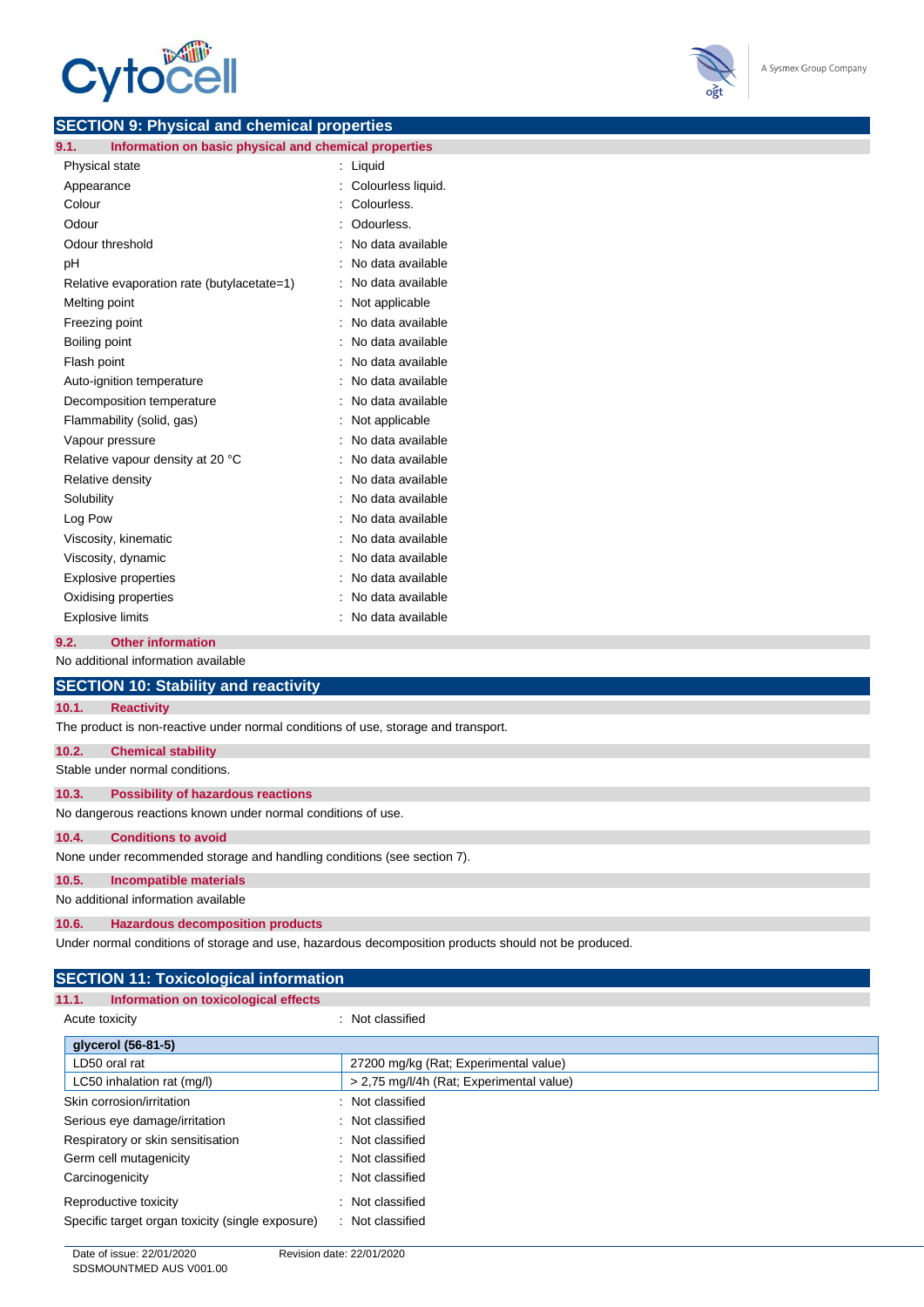



### **SECTION 9: Physical and chemical properties**

| 9.1.  | Information on basic physical and chemical properties |                |                    |
|-------|-------------------------------------------------------|----------------|--------------------|
|       | Physical state                                        | $\ddot{\cdot}$ | Liquid             |
|       | Appearance                                            |                | Colourless liquid. |
|       | Colour                                                |                | Colourless.        |
| Odour |                                                       |                | Odourless.         |
|       | Odour threshold                                       |                | No data available  |
| рH    |                                                       |                | No data available  |
|       | Relative evaporation rate (butylacetate=1)            |                | No data available  |
|       | Melting point                                         |                | Not applicable     |
|       | Freezing point                                        |                | No data available  |
|       | Boiling point                                         |                | No data available  |
|       | Flash point                                           |                | No data available  |
|       | Auto-ignition temperature                             |                | No data available  |
|       | Decomposition temperature                             |                | No data available  |
|       | Flammability (solid, gas)                             |                | Not applicable     |
|       | Vapour pressure                                       |                | No data available  |
|       | Relative vapour density at 20 °C                      |                | No data available  |
|       | Relative density                                      |                | No data available  |
|       | Solubility                                            |                | No data available  |
|       | Log Pow                                               |                | No data available  |
|       | Viscosity, kinematic                                  |                | No data available  |
|       | Viscosity, dynamic                                    |                | No data available  |
|       | <b>Explosive properties</b>                           |                | No data available  |
|       | Oxidising properties                                  |                | No data available  |
|       | <b>Explosive limits</b>                               |                | No data available  |
|       |                                                       |                |                    |

### **9.2. Other information**

No additional information available

| <b>SECTION 10: Stability and reactivity</b> |                                                                                                      |  |  |
|---------------------------------------------|------------------------------------------------------------------------------------------------------|--|--|
| <b>Reactivity</b><br>10.1.                  |                                                                                                      |  |  |
|                                             | The product is non-reactive under normal conditions of use, storage and transport.                   |  |  |
| 10.2.<br><b>Chemical stability</b>          |                                                                                                      |  |  |
| Stable under normal conditions.             |                                                                                                      |  |  |
| 10.3.                                       | <b>Possibility of hazardous reactions</b>                                                            |  |  |
|                                             | No dangerous reactions known under normal conditions of use.                                         |  |  |
| <b>Conditions to avoid</b><br>10.4.         |                                                                                                      |  |  |
|                                             | None under recommended storage and handling conditions (see section 7).                              |  |  |
| Incompatible materials<br>10.5.             |                                                                                                      |  |  |
| No additional information available         |                                                                                                      |  |  |
| 10.6.                                       | <b>Hazardous decomposition products</b>                                                              |  |  |
|                                             | Under normal conditions of storage and use, hazardous decomposition products should not be produced. |  |  |

| <b>SECTION 11: Toxicological information</b>     |                                          |  |
|--------------------------------------------------|------------------------------------------|--|
| 11.1.<br>Information on toxicological effects    |                                          |  |
| Acute toxicity                                   | : Not classified                         |  |
| qlycerol (56-81-5)                               |                                          |  |
| LD50 oral rat                                    | 27200 mg/kg (Rat; Experimental value)    |  |
| LC50 inhalation rat (mg/l)                       | > 2,75 mg/l/4h (Rat; Experimental value) |  |
| Skin corrosion/irritation                        | : Not classified                         |  |
| Serious eye damage/irritation                    | : Not classified                         |  |
| Respiratory or skin sensitisation                | : Not classified                         |  |
| Germ cell mutagenicity                           | : Not classified                         |  |
| Carcinogenicity                                  | : Not classified                         |  |
| Reproductive toxicity                            | : Not classified                         |  |
| Specific target organ toxicity (single exposure) | : Not classified                         |  |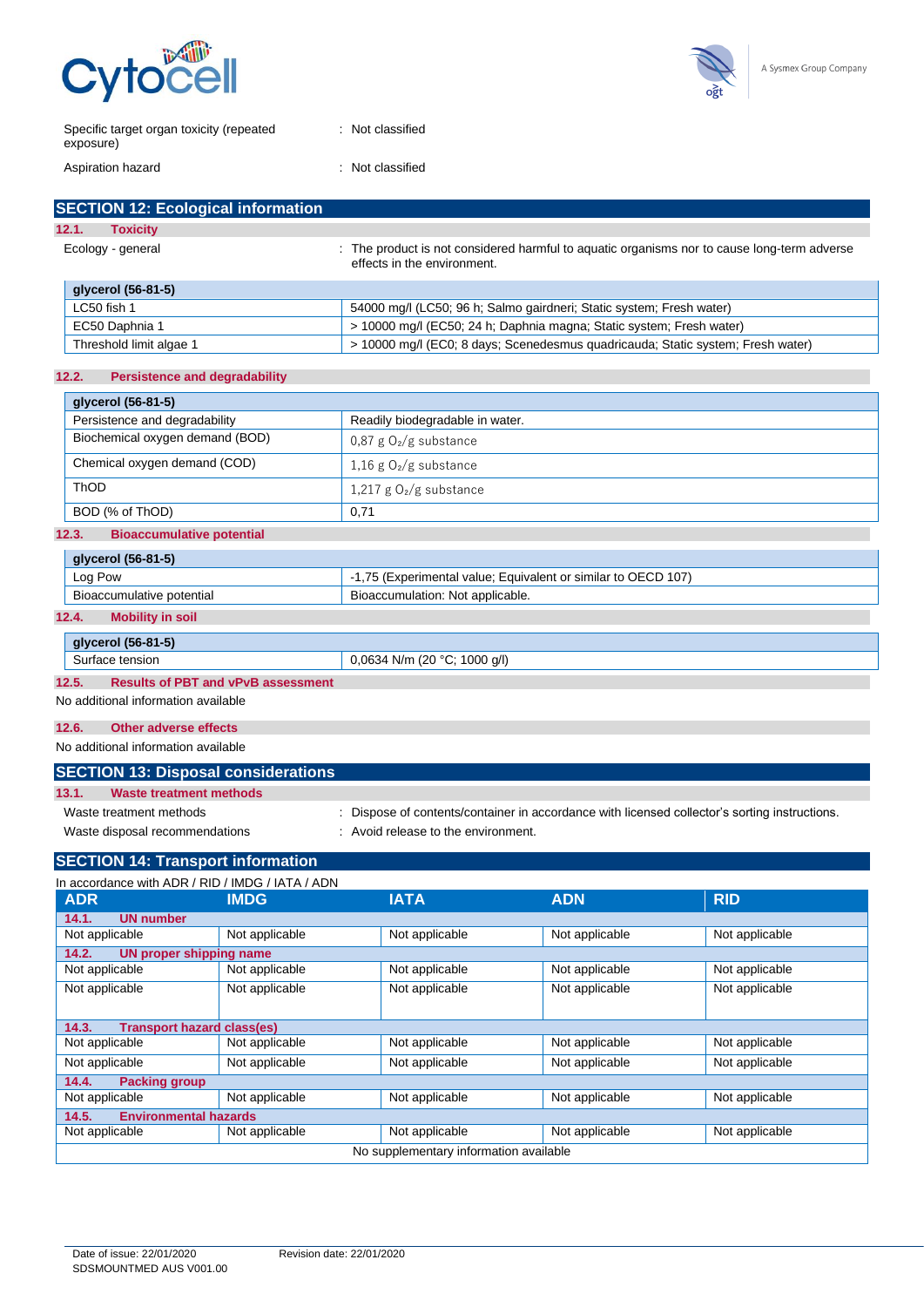



| Specific target organ toxicity (repeated<br>exposure) | : Not classified |
|-------------------------------------------------------|------------------|
| Aspiration hazard                                     | : Not classified |

### **SECTION 12: Ecological information 12.1. Toxicity**

|                   | 14. L.<br><b>TOXIGILY</b> |                                                                                                                            |  |
|-------------------|---------------------------|----------------------------------------------------------------------------------------------------------------------------|--|
| Ecology - general |                           | : The product is not considered harmful to aquatic organisms nor to cause long-term adverse<br>effects in the environment. |  |
|                   | glycerol (56-81-5)        |                                                                                                                            |  |
|                   | LC50 fish 1               | 54000 mg/l (LC50; 96 h; Salmo gairdneri; Static system; Fresh water)                                                       |  |
|                   | EC50 Daphnia 1            | > 10000 mg/l (EC50; 24 h; Daphnia magna; Static system; Fresh water)                                                       |  |
|                   | Threshold limit algae 1   | > 10000 mg/l (EC0; 8 days; Scenedesmus quadricauda; Static system; Fresh water)                                            |  |

### **12.2. Persistence and degradability**

| glycerol (56-81-5)              |                                 |  |
|---------------------------------|---------------------------------|--|
| Persistence and degradability   | Readily biodegradable in water. |  |
| Biochemical oxygen demand (BOD) | $0.87$ g $O2$ /g substance      |  |
| Chemical oxygen demand (COD)    | 1,16 g $O_2/g$ substance        |  |
| ThOD                            | 1,217 g $O_2/g$ substance       |  |
| BOD (% of ThOD)                 | 0.71                            |  |

### **12.3. Bioaccumulative potential**

| glycerol (56-81-5)        |                                                            |
|---------------------------|------------------------------------------------------------|
| Log Pow                   | 75 (Experimental value; Equivalent or similar to OECD 107) |
| Bioaccumulative potential | , Bioaccumulation: Not applicable.                         |
|                           |                                                            |

### **12.4. Mobility in soil**

|                                                    | glycerol (56-81-5) |                              |
|----------------------------------------------------|--------------------|------------------------------|
|                                                    | Surface tension    | 0,0634 N/m (20 °C; 1000 g/l) |
| 12.5.<br><b>Results of PBT and vPvB assessment</b> |                    |                              |

No additional information available

#### **12.6. Other adverse effects**

No additional information available

### **SECTION 13: Disposal considerations 13.1. Waste treatment methods**

Waste treatment methods : Dispose of contents/container in accordance with licensed collector's sorting instructions. Waste disposal recommendations : Avoid release to the environment.

### **SECTION 14: Transport information**

| In accordance with ADR / RID / IMDG / IATA / ADN |                                   |                |                |                |
|--------------------------------------------------|-----------------------------------|----------------|----------------|----------------|
| <b>ADR</b>                                       | <b>IMDG</b>                       | <b>IATA</b>    | <b>ADN</b>     | <b>RID</b>     |
| <b>UN number</b><br>14.1.                        |                                   |                |                |                |
| Not applicable                                   | Not applicable                    | Not applicable | Not applicable | Not applicable |
| 14.2.                                            | UN proper shipping name           |                |                |                |
| Not applicable                                   | Not applicable                    | Not applicable | Not applicable | Not applicable |
| Not applicable                                   | Not applicable                    | Not applicable | Not applicable | Not applicable |
| 14.3.                                            | <b>Transport hazard class(es)</b> |                |                |                |
| Not applicable                                   | Not applicable                    | Not applicable | Not applicable | Not applicable |
| Not applicable                                   | Not applicable                    | Not applicable | Not applicable | Not applicable |
| 14.4.<br><b>Packing group</b>                    |                                   |                |                |                |
| Not applicable                                   | Not applicable                    | Not applicable | Not applicable | Not applicable |
| <b>Environmental hazards</b><br>14.5.            |                                   |                |                |                |
| Not applicable                                   | Not applicable                    | Not applicable | Not applicable | Not applicable |
| No supplementary information available           |                                   |                |                |                |